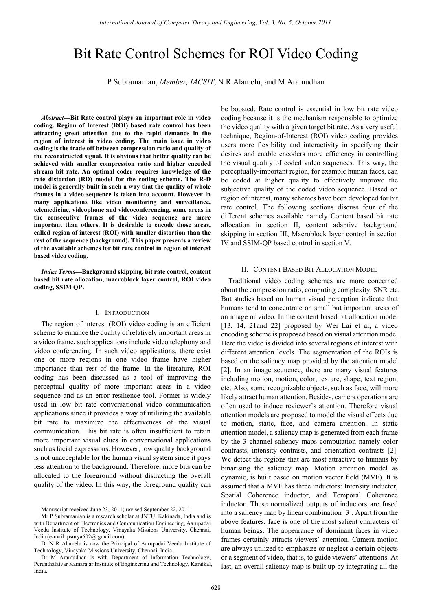# Bit Rate Control Schemes for ROI Video Coding

P Subramanian, *Member, IACSIT*, N R Alamelu, and M Aramudhan

*Abstract***—Bit Rate control plays an important role in video coding. Region of Interest (ROI) based rate control has been attracting great attention due to the rapid demands in the region of interest in video coding. The main issue in video coding is the trade off between compression ratio and quality of the reconstructed signal. It is obvious that better quality can be achieved with smaller compression ratio and higher encoded stream bit rate. An optimal coder requires knowledge of the rate distortion (RD) model for the coding scheme. The R-D model is generally built in such a way that the quality of whole frames in a video sequence is taken into account. However in many applications like video monitoring and surveillance, telemedicine, videophone and videoconferencing, some areas in the consecutive frames of the video sequence are more important than others. It is desirable to encode those areas, called region of interest (ROI) with smaller distortion than the rest of the sequence (background). This paper presents a review of the available schemes for bit rate control in region of interest based video coding.** 

*Index Terms***—Background skipping, bit rate control, content based bit rate allocation, macroblock layer control, ROI video coding, SSIM QP.** 

#### I. INTRODUCTION

The region of interest (ROI) video coding is an efficient scheme to enhance the quality of relatively important areas in a video frame**,** such applications include video telephony and video conferencing. In such video applications, there exist one or more regions in one video frame have higher importance than rest of the frame. In the literature, ROI coding has been discussed as a tool of improving the perceptual quality of more important areas in a video sequence and as an error resilience tool. Former is widely used in low bit rate conversational video communication applications since it provides a way of utilizing the available bit rate to maximize the effectiveness of the visual communication. This bit rate is often insufficient to retain more important visual clues in conversational applications such as facial expressions. However, low quality background is not unacceptable for the human visual system since it pays less attention to the background. Therefore, more bits can be allocated to the foreground without distracting the overall quality of the video. In this way, the foreground quality can be boosted. Rate control is essential in low bit rate video coding because it is the mechanism responsible to optimize the video quality with a given target bit rate. As a very useful technique, Region-of-Interest (ROI) video coding provides users more flexibility and interactivity in specifying their desires and enable encoders more efficiency in controlling the visual quality of coded video sequences. This way, the perceptually-important region, for example human faces, can be coded at higher quality to effectively improve the subjective quality of the coded video sequence. Based on region of interest, many schemes have been developed for bit rate control. The following sections discuss four of the different schemes available namely Content based bit rate allocation in section II, content adaptive background skipping in section III, Macroblock layer control in section IV and SSIM-QP based control in section V.

#### II. CONTENT BASED BIT ALLOCATION MODEL

Traditional video coding schemes are more concerned about the compression ratio, computing complexity, SNR etc. But studies based on human visual perception indicate that humans tend to concentrate on small but important areas of an image or video. In the content based bit allocation model [13, 14, 21and 22] proposed by Wei Lai et al, a video encoding scheme is proposed based on visual attention model. Here the video is divided into several regions of interest with different attention levels. The segmentation of the ROIs is based on the saliency map provided by the attention model [2]. In an image sequence, there are many visual features including motion, motion, color, texture, shape, text region, etc. Also*,* some recognizable objects, such as face, will more likely attract human attention. Besides, camera operations are often used to induce reviewer's attention. Therefore visual attention models are proposed to model the visual effects due to motion, static, face, and camera attention. In static attention model, a saliency map is generated from each frame by the 3 channel saliency maps computation namely color contrasts, intensity contrasts, and orientation contrasts [2]. We detect the regions that are most attractive to humans by binarising the saliency map. Motion attention model as dynamic, is built based on motion vector field (MVF). It is assumed that a MVF has three inductors: Intensity inductor, Spatial Coherence inductor, and Temporal Coherence inductor. These normalized outputs of inductors are fused into a saliency map by linear combination [3]. Apart from the above features, face is one of the most salient characters of human beings. The appearance of dominant faces in video frames certainly attracts viewers' attention. Camera motion are always utilized to emphasize or neglect a certain objects or a segment of video, that is, to guide viewers' attentions. At last, an overall saliency map is built up by integrating all the

Manuscript received June 23, 2011; revised September 22, 2011.

Mr P Subramanian is a research scholar at JNTU, Kakinada, India and is with Department of Electronics and Communication Engineering, Aarupadai Veedu Institute of Technology, Vinayaka Missions University, Chennai, India (e-mail: psurya602@ gmail.com).

Dr N R Alamelu is now the Principal of Aarupadai Veedu Institute of Technology, Vinayaka Missions University, Chennai, India.

Dr M Aramudhan is with Department of Information Technology, Perunthalaivar Kamarajar Institute of Engineering and Technology, Karaikal, India.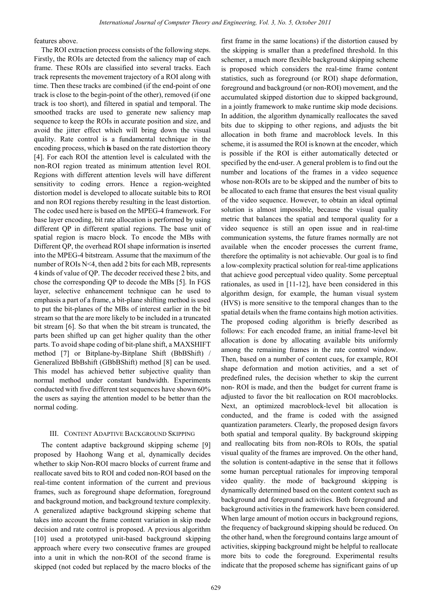features above.

The ROI extraction process consists of the following steps. Firstly, the ROIs are detected from the saliency map of each frame. These ROIs are classified into several tracks. Each track represents the movement trajectory of a ROI along with time. Then these tracks are combined (if the end-point of one track is close to the begin-point of the other), removed (if one track is too short), and filtered in spatial and temporal. The smoothed tracks are used to generate new saliency map sequence to keep the ROIs in accurate position and size, and avoid the jitter effect which will bring down the visual quality. Rate control is a fundamental technique in the encoding process, which **is** based on the rate distortion theory [4]. For each ROI the attention level is calculated with the non-ROI region treated as minimum attention level ROI. Regions with different attention levels will have different sensitivity to coding errors. Hence a region-weighted distortion model is developed to allocate suitable bits to ROI and non ROI regions thereby resulting in the least distortion. The codec used here is based on the MPEG-4 framework. For base layer encoding, bit rate allocation is performed by using different QP in different spatial regions. The base unit of spatial region is macro block. To encode the MBs with Different QP, the overhead ROI shape information is inserted into the MPEG-4 bitstream. Assume that the maximum of the number of ROIs N<4, then add 2 bits for each MB, represents 4 kinds of value of QP. The decoder received these 2 bits, and chose the corresponding QP to decode the MBs [5]. In FGS layer, selective enhancement technique can he used to emphasis a part of a frame, a bit-plane shifting method is used to put the bit-planes of the MBs of interest earlier in the bit stream so that the are more likely to be included in a truncated bit stream [6]. So that when the bit stream is truncated, the parts been shifted up can get higher quality than the other parts. To avoid shape coding of bit-plane shift, a MAXSHIFT method [7] or Bitplane-by-Bitplane Shift (BbBShift) / Generalized BbBshift (GBbBShift) method [8] can be used. This model has achieved better subjective quality than normal method under constant bandwidth. Experiments conducted with five different test sequences have shown 60% the users as saying the attention model to be better than the normal coding.

## III. CONTENT ADAPTIVE BACKGROUND SKIPPING

The content adaptive background skipping scheme [9] proposed by Haohong Wang et al, dynamically decides whether to skip Non-ROI macro blocks of current frame and reallocate saved bits to ROI and coded non-ROI based on the real-time content information of the current and previous frames, such as foreground shape deformation, foreground and background motion, and background texture complexity. A generalized adaptive background skipping scheme that takes into account the frame content variation in skip mode decision and rate control is proposed. A previous algorithm [10] used a prototyped unit-based background skipping approach where every two consecutive frames are grouped into a unit in which the non-ROI of the second frame is skipped (not coded but replaced by the macro blocks of the

first frame in the same locations) if the distortion caused by the skipping is smaller than a predefined threshold. In this schemer, a much more flexible background skipping scheme is proposed which considers the real-time frame content statistics, such as foreground (or ROI) shape deformation, foreground and background (or non-ROI) movement, and the accumulated skipped distortion due to skipped background, in a jointly framework to make runtime skip mode decisions. In addition, the algorithm dynamically reallocates the saved bits due to skipping to other regions, and adjusts the bit allocation in both frame and macroblock levels. In this scheme, it is assumed the ROI is known at the encoder, which is possible if the ROI is either automatically detected or specified by the end-user. A general problem is to find out the number and locations of the frames in a video sequence whose non-ROIs are to be skipped and the number of bits to be allocated to each frame that ensures the best visual quality of the video sequence. However, to obtain an ideal optimal solution is almost impossible, because the visual quality metric that balances the spatial and temporal quality for a video sequence is still an open issue and in real-time communication systems, the future frames normally are not available when the encoder processes the current frame, therefore the optimality is not achievable. Our goal is to find a low-complexity practical solution for real-time applications that achieve good perceptual video quality. Some perceptual rationales, as used in [11-12], have been considered in this algorithm design, for example, the human visual system (HVS) is more sensitive to the temporal changes than to the spatial details when the frame contains high motion activities. The proposed coding algorithm is briefly described as follows: For each encoded frame, an initial frame-level bit allocation is done by allocating available bits uniformly among the remaining frames in the rate control window. Then, based on a number of content cues, for example, ROI shape deformation and motion activities, and a set of predefined rules, the decision whether to skip the current non- ROI is made, and then the budget for current frame is adjusted to favor the bit reallocation on ROI macroblocks. Next, an optimized macroblock-level bit allocation is conducted, and the frame is coded with the assigned quantization parameters. Clearly, the proposed design favors both spatial and temporal quality. By background skipping and reallocating bits from non-ROIs to ROIs, the spatial visual quality of the frames are improved. On the other hand, the solution is content-adaptive in the sense that it follows some human perceptual rationales for improving temporal video quality. the mode of background skipping is dynamically determined based on the content context such as background and foreground activities. Both foreground and background activities in the framework have been considered. When large amount of motion occurs in background regions, the frequency of background skipping should be reduced. On the other hand, when the foreground contains large amount of activities, skipping background might be helpful to reallocate more bits to code the foreground. Experimental results indicate that the proposed scheme has significant gains of up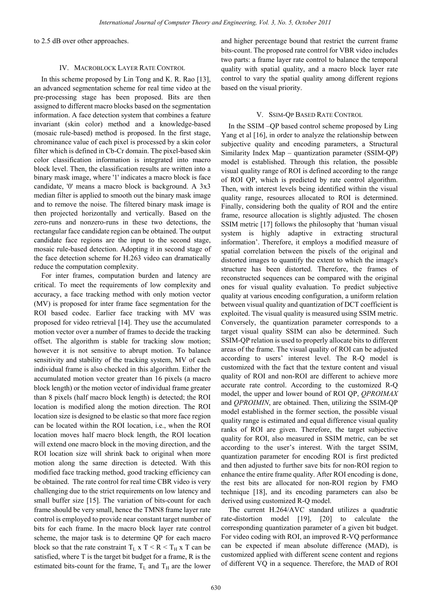to 2.5 dB over other approaches.

### IV. MACROBLOCK LAYER RATE CONTROL

In this scheme proposed by Lin Tong and K. R. Rao [13], an advanced segmentation scheme for real time video at the pre-processing stage has been proposed. Bits are then assigned to different macro blocks based on the segmentation information. A face detection system that combines a feature invariant (skin color) method and a knowledge-based (mosaic rule-based) method is proposed. In the first stage, chrominance value of each pixel is processed by a skin color filter which is defined in Cb-Cr domain. The pixel-based skin color classification information is integrated into macro block level. Then, the classification results are written into a binary mask image, where '1' indicates a macro block is face candidate, '0' means a macro block is background. A 3x3 median filter is applied to smooth out the binary mask image and to remove the noise. The filtered binary mask image is then projected horizontally and vertically. Based on the zero-runs and nonzero-runs in these two detections, the rectangular face candidate region can be obtained. The output candidate face regions are the input to the second stage, mosaic rule-based detection. Adopting it in second stage of the face detection scheme for H.263 video can dramatically reduce the computation complexity.

For inter frames, computation burden and latency are critical. To meet the requirements of low complexity and accuracy, a face tracking method with only motion vector (MV) is proposed for inter frame face segmentation for the ROI based codec. Earlier face tracking with MV was proposed for video retrieval [14]. They use the accumulated motion vector over a number of frames to decide the tracking offset. The algorithm is stable for tracking slow motion; however it is not sensitive to abrupt motion. To balance sensitivity and stability of the tracking system, MV of each individual frame is also checked in this algorithm. Either the accumulated motion vector greater than 16 pixels (a macro block length) or the motion vector of individual frame greater than 8 pixels (half macro block length) is detected; the ROI location is modified along the motion direction. The ROI location size is designed to be elastic so that more face region can be located within the ROI location, i.e., when the ROI location moves half macro block length, the ROI location will extend one macro block in the moving direction, and the ROI location size will shrink back to original when more motion along the same direction is detected. With this modified face tracking method, good tracking efficiency can be obtained. The rate control for real time CBR video is very challenging due to the strict requirements on low latency and small buffer size [15]. The variation of bits-count for each frame should be very small, hence the TMN8 frame layer rate control is employed to provide near constant target number of bits for each frame. In the macro block layer rate control scheme, the major task is to determine QP for each macro block so that the rate constraint  $T_L$  x  $T < R < T_H$  x T can be satisfied, where T is the target bit budget for a frame, R is the estimated bits-count for the frame,  $T_L$  and  $T_H$  are the lower and higher percentage bound that restrict the current frame bits-count. The proposed rate control for VBR video includes two parts: a frame layer rate control to balance the temporal quality with spatial quality, and a macro block layer rate control to vary the spatial quality among different regions based on the visual priority.

# V. SSIM-QP BASED RATE CONTROL

In the SSIM –QP based control scheme proposed by Ling Yang et al [16], in order to analyze the relationship between subjective quality and encoding parameters, a Structural Similarity Index Map – quantization parameter (SSIM-QP) model is established. Through this relation, the possible visual quality range of ROI is defined according to the range of ROI QP, which is predicted by rate control algorithm. Then, with interest levels being identified within the visual quality range, resources allocated to ROI is determined. Finally, considering both the quality of ROI and the entire frame, resource allocation is slightly adjusted. The chosen SSIM metric [17] follows the philosophy that 'human visual system is highly adaptive in extracting structural information'. Therefore, it employs a modified measure of spatial correlation between the pixels of the original and distorted images to quantify the extent to which the image's structure has been distorted. Therefore, the frames of reconstructed sequences can be compared with the original ones for visual quality evaluation. To predict subjective quality at various encoding configuration, a uniform relation between visual quality and quantization of DCT coefficient is exploited. The visual quality is measured using SSIM metric. Conversely, the quantization parameter corresponds to a target visual quality SSIM can also be determined. Such SSIM-QP relation is used to properly allocate bits to different areas of the frame. The visual quality of ROI can be adjusted according to users' interest level. The R-Q model is customized with the fact that the texture content and visual quality of ROI and non-ROI are different to achieve more accurate rate control. According to the customized R-Q model, the upper and lower bound of ROI QP, *QPROIMAX*  and *QPROIMIN*, are obtained. Then, utilizing the SSIM-QP model established in the former section, the possible visual quality range is estimated and equal difference visual quality ranks of ROI are given. Therefore, the target subjective quality for ROI, also measured in SSIM metric, can be set according to the user's interest. With the target SSIM, quantization parameter for encoding ROI is first predicted and then adjusted to further save bits for non-ROI region to enhance the entire frame quality. After ROI encoding is done, the rest bits are allocated for non-ROI region by FMO technique [18], and its encoding parameters can also be derived using customized R-Q model.

The current H.264/AVC standard utilizes a quadratic rate-distortion model [19], [20] to calculate the corresponding quantization parameter of a given bit budget. For video coding with ROI, an improved R-VQ performance can be expected if mean absolute difference (MAD), is customized applied with different scene content and regions of different VQ in a sequence. Therefore, the MAD of ROI